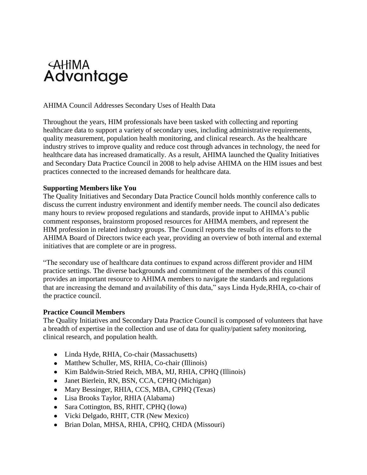

## AHIMA Council Addresses Secondary Uses of Health Data

Throughout the years, HIM professionals have been tasked with collecting and reporting healthcare data to support a variety of secondary uses, including administrative requirements, quality measurement, population health monitoring, and clinical research. As the healthcare industry strives to improve quality and reduce cost through advances in technology, the need for healthcare data has increased dramatically. As a result, AHIMA launched the Quality Initiatives and Secondary Data Practice Council in 2008 to help advise AHIMA on the HIM issues and best practices connected to the increased demands for healthcare data.

### **Supporting Members like You**

The Quality Initiatives and Secondary Data Practice Council holds monthly conference calls to discuss the current industry environment and identify member needs. The council also dedicates many hours to review proposed regulations and standards, provide input to AHIMA's public comment responses, brainstorm proposed resources for AHIMA members, and represent the HIM profession in related industry groups. The Council reports the results of its efforts to the AHIMA Board of Directors twice each year, providing an overview of both internal and external initiatives that are complete or are in progress.

"The secondary use of healthcare data continues to expand across different provider and HIM practice settings. The diverse backgrounds and commitment of the members of this council provides an important resource to AHIMA members to navigate the standards and regulations that are increasing the demand and availability of this data," says Linda Hyde,RHIA, co-chair of the practice council.

### **Practice Council Members**

The Quality Initiatives and Secondary Data Practice Council is composed of volunteers that have a breadth of expertise in the collection and use of data for quality/patient safety monitoring, clinical research, and population health.

- Linda Hyde, RHIA, Co-chair (Massachusetts)
- Matthew Schuller, MS, RHIA, Co-chair (Illinois)
- Kim Baldwin-Stried Reich, MBA, MJ, RHIA, CPHQ (Illinois)
- Janet Bierlein, RN, BSN, CCA, CPHQ (Michigan)
- Mary Bessinger, RHIA, CCS, MBA, CPHQ (Texas)
- Lisa Brooks Taylor, RHIA (Alabama)
- Sara Cottington, BS, RHIT, CPHQ (Iowa)
- Vicki Delgado, RHIT, CTR (New Mexico)
- Brian Dolan, MHSA, RHIA, CPHQ, CHDA (Missouri)